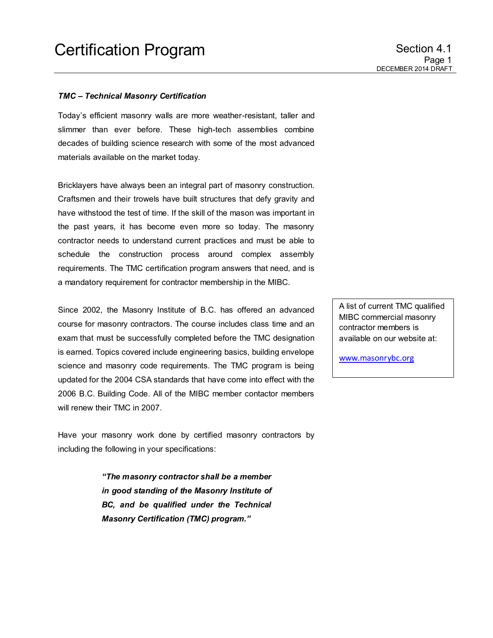#### *TMC – Technical Masonry Certification*

Today's efficient masonry walls are more weather-resistant, taller and slimmer than ever before. These high-tech assemblies combine decades of building science research with some of the most advanced materials available on the market today.

Bricklayers have always been an integral part of masonry construction. Craftsmen and their trowels have built structures that defy gravity and have withstood the test of time. If the skill of the mason was important in the past years, it has become even more so today. The masonry contractor needs to understand current practices and must be able to schedule the construction process around complex assembly requirements. The TMC certification program answers that need, and is a mandatory requirement for contractor membership in the MIBC.

Since 2002, the Masonry Institute of B.C. has offered an advanced course for masonry contractors. The course includes class time and an exam that must be successfully completed before the TMC designation is earned. Topics covered include engineering basics, building envelope science and masonry code requirements. The TMC program is being updated for the 2004 CSA standards that have come into effect with the 2006 B.C. Building Code. All of the MIBC member contactor members will renew their TMC in 2007.

Have your masonry work done by certified masonry contractors by including the following in your specifications:

> *"The masonry contractor shall be a member in good standing of the Masonry Institute of BC, and be qualified under the Technical Masonry Certification (TMC) program."*

A list of current TMC qualified MIBC commercial masonry contractor members is available on our website at:

[www.masonrybc.org](http://www.masonrybc.org/)